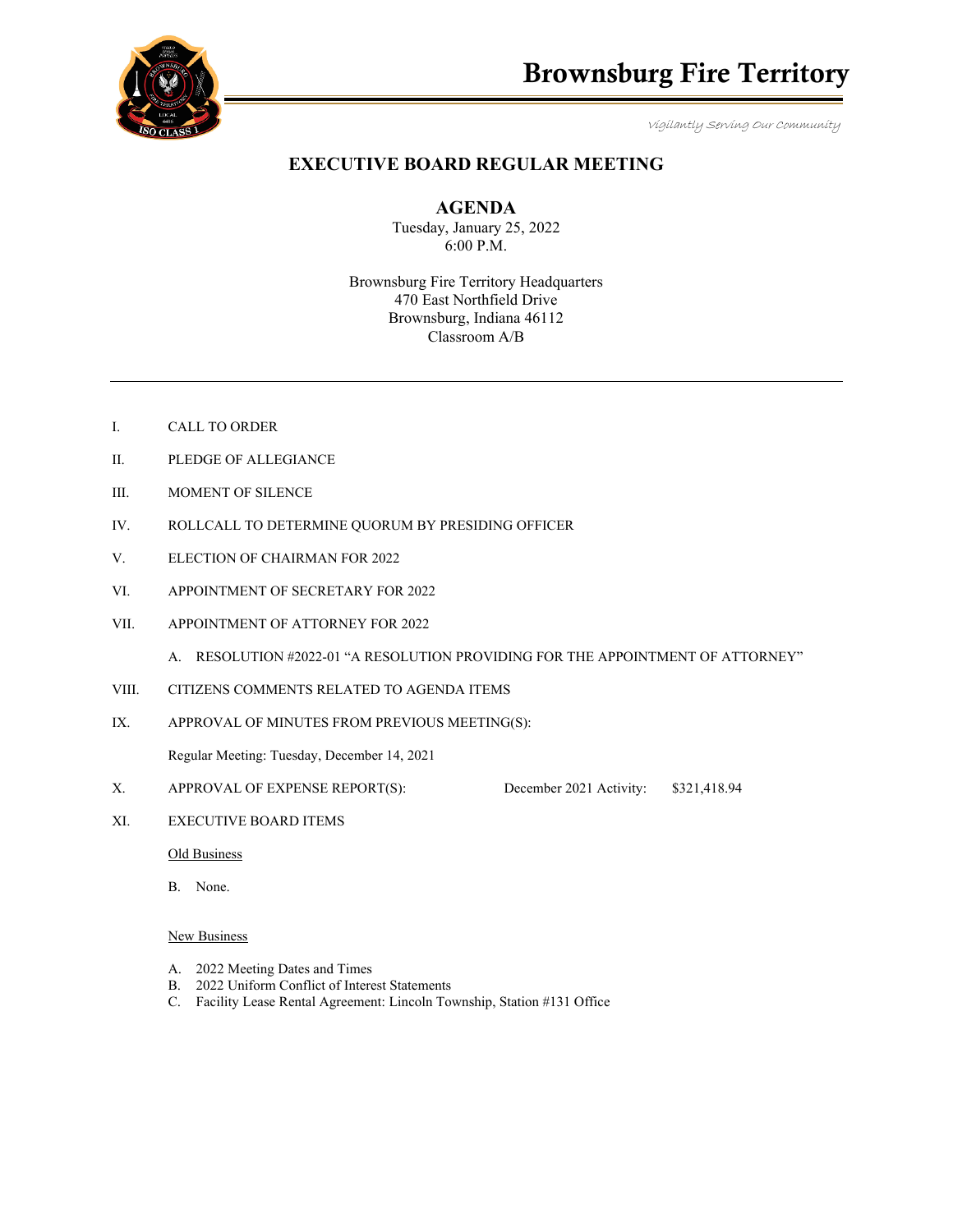

Vigilantly Serving Our Community

# **EXECUTIVE BOARD REGULAR MEETING**

**AGENDA** 

Tuesday, January 25, 2022 6:00 P.M.

Brownsburg Fire Territory Headquarters 470 East Northfield Drive Brownsburg, Indiana 46112 Classroom A/B

- I. CALL TO ORDER
- II. PLEDGE OF ALLEGIANCE
- III. MOMENT OF SILENCE
- IV. ROLLCALL TO DETERMINE QUORUM BY PRESIDING OFFICER
- V. ELECTION OF CHAIRMAN FOR 2022
- VI. APPOINTMENT OF SECRETARY FOR 2022
- VII. APPOINTMENT OF ATTORNEY FOR 2022
	- A. RESOLUTION #2022-01 "A RESOLUTION PROVIDING FOR THE APPOINTMENT OF ATTORNEY"
- VIII. CITIZENS COMMENTS RELATED TO AGENDA ITEMS
- IX. APPROVAL OF MINUTES FROM PREVIOUS MEETING(S):

Regular Meeting: Tuesday, December 14, 2021

- X. APPROVAL OF EXPENSE REPORT(S): December 2021 Activity: \$321,418.94
- XI. EXECUTIVE BOARD ITEMS

Old Business

B. None.

## New Business

- A. 2022 Meeting Dates and Times
- B. 2022 Uniform Conflict of Interest Statements
- C. Facility Lease Rental Agreement: Lincoln Township, Station #131 Office